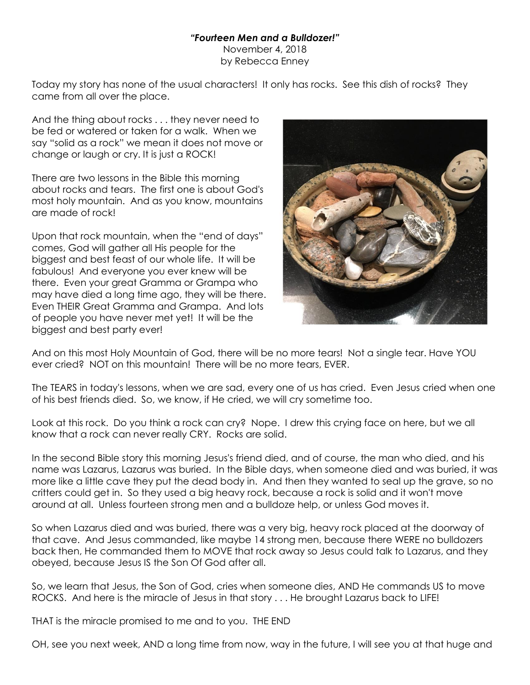## *"Fourteen Men and a Bulldozer!"* November 4, 2018 by Rebecca Enney

Today my story has none of the usual characters! It only has rocks. See this dish of rocks? They came from all over the place.

And the thing about rocks . . . they never need to be fed or watered or taken for a walk. When we say "solid as a rock" we mean it does not move or change or laugh or cry. It is just a ROCK!

There are two lessons in the Bible this morning about rocks and tears. The first one is about God's most holy mountain. And as you know, mountains are made of rock!

Upon that rock mountain, when the "end of days" comes, God will gather all His people for the biggest and best feast of our whole life. It will be fabulous! And everyone you ever knew will be there. Even your great Gramma or Grampa who may have died a long time ago, they will be there. Even THEIR Great Gramma and Grampa. And lots of people you have never met yet! It will be the biggest and best party ever!



And on this most Holy Mountain of God, there will be no more tears! Not a single tear. Have YOU ever cried? NOT on this mountain! There will be no more tears, EVER.

The TEARS in today's lessons, when we are sad, every one of us has cried. Even Jesus cried when one of his best friends died. So, we know, if He cried, we will cry sometime too.

Look at this rock. Do you think a rock can cry? Nope. I drew this crying face on here, but we all know that a rock can never really CRY. Rocks are solid.

In the second Bible story this morning Jesus's friend died, and of course, the man who died, and his name was Lazarus, Lazarus was buried. In the Bible days, when someone died and was buried, it was more like a little cave they put the dead body in. And then they wanted to seal up the grave, so no critters could get in. So they used a big heavy rock, because a rock is solid and it won't move around at all. Unless fourteen strong men and a bulldoze help, or unless God moves it.

So when Lazarus died and was buried, there was a very big, heavy rock placed at the doorway of that cave. And Jesus commanded, like maybe 14 strong men, because there WERE no bulldozers back then, He commanded them to MOVE that rock away so Jesus could talk to Lazarus, and they obeyed, because Jesus IS the Son Of God after all.

So, we learn that Jesus, the Son of God, cries when someone dies, AND He commands US to move ROCKS. And here is the miracle of Jesus in that story . . . He brought Lazarus back to LIFE!

THAT is the miracle promised to me and to you. THE END

OH, see you next week, AND a long time from now, way in the future, I will see you at that huge and